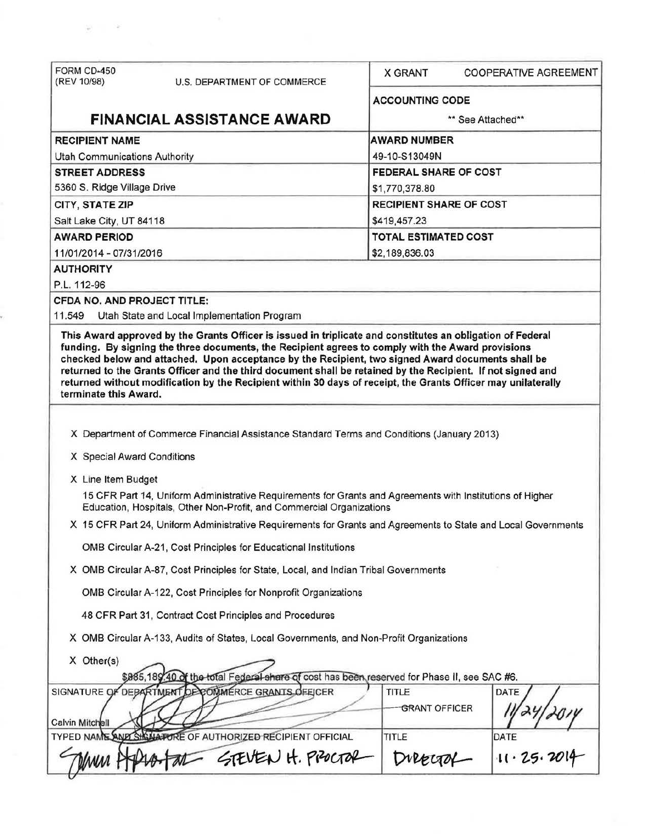| FORM CD-450                     |                                                                                                                                                                                   |                             |                                |  |  |
|---------------------------------|-----------------------------------------------------------------------------------------------------------------------------------------------------------------------------------|-----------------------------|--------------------------------|--|--|
| (REV 10/98)                     | U.S. DEPARTMENT OF COMMERCE                                                                                                                                                       | <b>X GRANT</b>              | <b>COOPERATIVE AGREEMENT</b>   |  |  |
|                                 |                                                                                                                                                                                   | <b>ACCOUNTING CODE</b>      |                                |  |  |
|                                 | <b>FINANCIAL ASSISTANCE AWARD</b>                                                                                                                                                 |                             | ** See Attached**              |  |  |
| <b>RECIPIENT NAME</b>           |                                                                                                                                                                                   | <b>AWARD NUMBER</b>         |                                |  |  |
| Utah Communications Authority   |                                                                                                                                                                                   | 49-10-S13049N               |                                |  |  |
| <b>STREET ADDRESS</b>           |                                                                                                                                                                                   |                             | FEDERAL SHARE OF COST          |  |  |
| 5360 S. Ridge Village Drive     |                                                                                                                                                                                   | \$1,770,378.80              |                                |  |  |
| CITY, STATE ZIP                 |                                                                                                                                                                                   |                             | <b>RECIPIENT SHARE OF COST</b> |  |  |
| Salt Lake City, UT 84118        |                                                                                                                                                                                   | \$419,457.23                |                                |  |  |
| <b>AWARD PERIOD</b>             |                                                                                                                                                                                   | <b>TOTAL ESTIMATED COST</b> |                                |  |  |
| 11/01/2014 - 07/31/2016         |                                                                                                                                                                                   | \$2,189,836.03              |                                |  |  |
| <b>AUTHORITY</b>                |                                                                                                                                                                                   |                             |                                |  |  |
| P.L. 112-96                     |                                                                                                                                                                                   |                             |                                |  |  |
| CFDA NO. AND PROJECT TITLE:     |                                                                                                                                                                                   |                             |                                |  |  |
| 11.549                          | Utah State and Local Implementation Program                                                                                                                                       |                             |                                |  |  |
| terminate this Award.           |                                                                                                                                                                                   |                             |                                |  |  |
|                                 |                                                                                                                                                                                   |                             |                                |  |  |
|                                 | X Department of Commerce Financial Assistance Standard Terms and Conditions (January 2013)                                                                                        |                             |                                |  |  |
| X Special Award Conditions      |                                                                                                                                                                                   |                             |                                |  |  |
| X Line Item Budget              |                                                                                                                                                                                   |                             |                                |  |  |
|                                 | 15 CFR Part 14, Uniform Administrative Requirements for Grants and Agreements with Institutions of Higher<br>Education, Hospitals, Other Non-Profit, and Commercial Organizations |                             |                                |  |  |
|                                 | X 15 CFR Part 24, Uniform Administrative Requirements for Grants and Agreements to State and Local Governments                                                                    |                             |                                |  |  |
|                                 | OMB Circular A-21, Cost Principles for Educational Institutions                                                                                                                   |                             |                                |  |  |
|                                 | X OMB Circular A-87, Cost Principles for State, Local, and Indian Tribal Governments                                                                                              |                             |                                |  |  |
|                                 | OMB Circular A-122, Cost Principles for Nonprofit Organizations                                                                                                                   |                             |                                |  |  |
|                                 | 48 CFR Part 31, Contract Cost Principles and Procedures                                                                                                                           |                             |                                |  |  |
|                                 | X OMB Circular A-133, Audits of States, Local Governments, and Non-Profit Organizations                                                                                           |                             |                                |  |  |
| X Other(s)                      |                                                                                                                                                                                   |                             |                                |  |  |
|                                 | \$865,189.40 of the total Federal share of cost has been reserved for Phase II, see SAC #6.                                                                                       |                             |                                |  |  |
|                                 | DEPARTMENT DE COMMERCE GRANTS OFFICER                                                                                                                                             | TITLE                       | DATE                           |  |  |
|                                 |                                                                                                                                                                                   | <b>GRANT OFFICER</b>        |                                |  |  |
|                                 | TYPED NAME AND SHOULD FOR AUTHORIZED RECIPIENT OFFICIAL                                                                                                                           | TITLE                       | DATE                           |  |  |
| SIGNATURE OF<br>Calvin Mitchell | STEVEN H. PROCTOR                                                                                                                                                                 | DIRECTOR                    | 11.25.2014                     |  |  |